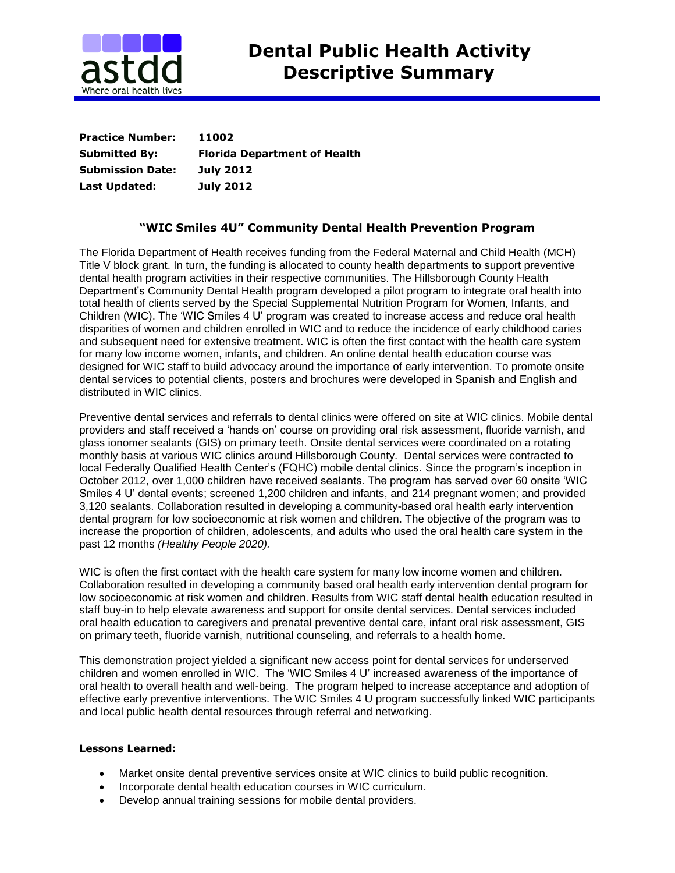

| <b>Practice Number:</b> | 11002                               |
|-------------------------|-------------------------------------|
| <b>Submitted By:</b>    | <b>Florida Department of Health</b> |
| <b>Submission Date:</b> | <b>July 2012</b>                    |
| Last Updated:           | <b>July 2012</b>                    |

## **"WIC Smiles 4U" Community Dental Health Prevention Program**

The Florida Department of Health receives funding from the Federal Maternal and Child Health (MCH) Title V block grant. In turn, the funding is allocated to county health departments to support preventive dental health program activities in their respective communities. The Hillsborough County Health Department's Community Dental Health program developed a pilot program to integrate oral health into total health of clients served by the Special Supplemental Nutrition Program for Women, Infants, and Children (WIC). The 'WIC Smiles 4 U' program was created to increase access and reduce oral health disparities of women and children enrolled in WIC and to reduce the incidence of early childhood caries and subsequent need for extensive treatment. WIC is often the first contact with the health care system for many low income women, infants, and children. An online dental health education course was designed for WIC staff to build advocacy around the importance of early intervention. To promote onsite dental services to potential clients, posters and brochures were developed in Spanish and English and distributed in WIC clinics.

Preventive dental services and referrals to dental clinics were offered on site at WIC clinics. Mobile dental providers and staff received a 'hands on' course on providing oral risk assessment, fluoride varnish, and glass ionomer sealants (GIS) on primary teeth. Onsite dental services were coordinated on a rotating monthly basis at various WIC clinics around Hillsborough County. Dental services were contracted to local Federally Qualified Health Center's (FQHC) mobile dental clinics. Since the program's inception in October 2012, over 1,000 children have received sealants. The program has served over 60 onsite 'WIC Smiles 4 U' dental events; screened 1,200 children and infants, and 214 pregnant women; and provided 3,120 sealants. Collaboration resulted in developing a community-based oral health early intervention dental program for low socioeconomic at risk women and children. The objective of the program was to [increase the proportion of children, adolescents, and adults who used the oral health care system in the](http://www.healthypeople.gov/2020/topicsobjectives2020/objectiveslist.aspx?topicId=32)  [past 12 months](http://www.healthypeople.gov/2020/topicsobjectives2020/objectiveslist.aspx?topicId=32) *(Healthy People 2020).* 

WIC is often the first contact with the health care system for many low income women and children. Collaboration resulted in developing a community based oral health early intervention dental program for low socioeconomic at risk women and children. Results from WIC staff dental health education resulted in staff buy-in to help elevate awareness and support for onsite dental services. Dental services included oral health education to caregivers and prenatal preventive dental care, infant oral risk assessment, GIS on primary teeth, fluoride varnish, nutritional counseling, and referrals to a health home.

This demonstration project yielded a significant new access point for dental services for underserved children and women enrolled in WIC. The 'WIC Smiles 4 U' increased awareness of the importance of oral health to overall health and well-being. The program helped to increase acceptance and adoption of effective early preventive interventions. The WIC Smiles 4 U program successfully linked WIC participants and local public health dental resources through referral and networking.

## **Lessons Learned:**

- Market onsite dental preventive services onsite at WIC clinics to build public recognition.
- Incorporate dental health education courses in WIC curriculum.
- Develop annual training sessions for mobile dental providers.